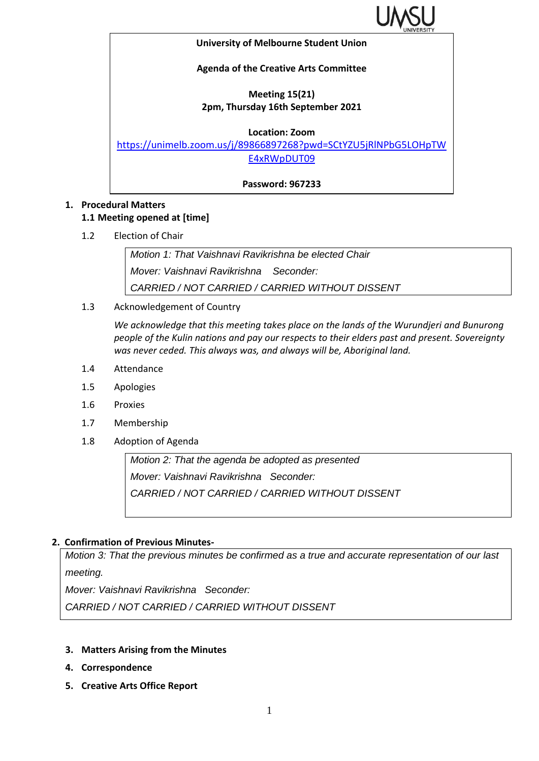

#### **University of Melbourne Student Union**

#### **Agenda of the Creative Arts Committee**

#### **Meeting 15(21) 2pm, Thursday 16th September 2021**

**Location: Zoom**

[https://unimelb.zoom.us/j/89866897268?pwd=SCtYZU5jRlNPbG5LOHpTW](https://unimelb.zoom.us/j/89866897268?pwd=SCtYZU5jRlNPbG5LOHpTWE4xRWpDUT09) [E4xRWpDUT09](https://unimelb.zoom.us/j/89866897268?pwd=SCtYZU5jRlNPbG5LOHpTWE4xRWpDUT09)

**Password: 967233**

## **1. Procedural Matters**

## **1.1 Meeting opened at [time]**

1.2 Election of Chair

*Motion 1: That Vaishnavi Ravikrishna be elected Chair Mover: Vaishnavi Ravikrishna Seconder: CARRIED / NOT CARRIED / CARRIED WITHOUT DISSENT*

1.3 Acknowledgement of Country

*We acknowledge that this meeting takes place on the lands of the Wurundjeri and Bunurong people of the Kulin nations and pay our respects to their elders past and present. Sovereignty was never ceded. This always was, and always will be, Aboriginal land.* 

- 1.4 Attendance
- 1.5 Apologies
- 1.6 Proxies
- 1.7 Membership
- 1.8 Adoption of Agenda

*Motion 2: That the agenda be adopted as presented Mover: Vaishnavi Ravikrishna Seconder: CARRIED / NOT CARRIED / CARRIED WITHOUT DISSENT*

## **2. Confirmation of Previous Minutes-**

*Motion 3: That the previous minutes be confirmed as a true and accurate representation of our last meeting.*

*Mover: Vaishnavi Ravikrishna Seconder:* 

*CARRIED / NOT CARRIED / CARRIED WITHOUT DISSENT*

- **3. Matters Arising from the Minutes**
- **4. Correspondence**
- **5. Creative Arts Office Report**